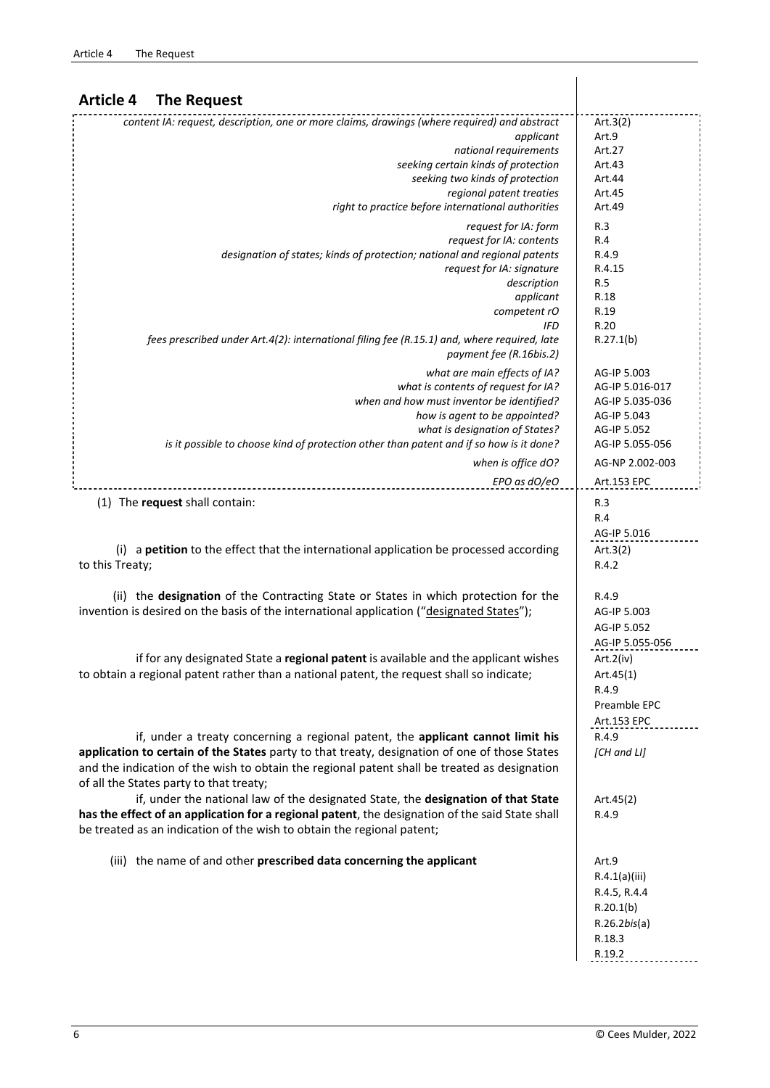| <b>Article 4</b><br><b>The Request</b>                                                                                 |                        |
|------------------------------------------------------------------------------------------------------------------------|------------------------|
| content IA: request, description, one or more claims, drawings (where required) and abstract                           | Art. $3(2)$            |
| applicant                                                                                                              | Art.9                  |
| national requirements                                                                                                  | Art.27                 |
| seeking certain kinds of protection                                                                                    | Art.43                 |
| seeking two kinds of protection                                                                                        | Art.44                 |
| regional patent treaties                                                                                               | Art.45                 |
| right to practice before international authorities                                                                     | Art.49                 |
| request for IA: form                                                                                                   | R.3                    |
| request for IA: contents                                                                                               | R.4                    |
| designation of states; kinds of protection; national and regional patents                                              | R.4.9<br>R.4.15        |
| request for IA: signature<br>description                                                                               | R.5                    |
| applicant                                                                                                              | R.18                   |
| competent rO                                                                                                           | R.19                   |
| <b>IFD</b>                                                                                                             | R.20                   |
| fees prescribed under Art.4(2): international filing fee (R.15.1) and, where required, late<br>payment fee (R.16bis.2) | R.27.1(b)              |
| what are main effects of IA?                                                                                           | AG-IP 5.003            |
| what is contents of request for IA?                                                                                    | AG-IP 5.016-017        |
| when and how must inventor be identified?                                                                              | AG-IP 5.035-036        |
| how is agent to be appointed?                                                                                          | AG-IP 5.043            |
| what is designation of States?                                                                                         | AG-IP 5.052            |
| is it possible to choose kind of protection other than patent and if so how is it done?                                | AG-IP 5.055-056        |
| when is office dO?                                                                                                     | AG-NP 2.002-003        |
| EPO as dO/eO                                                                                                           | Art.153 EPC            |
| (1) The request shall contain:                                                                                         | R.3                    |
|                                                                                                                        | R.4                    |
|                                                                                                                        | AG-IP 5.016            |
| (i) a petition to the effect that the international application be processed according                                 | Art. $3(2)$            |
| to this Treaty;                                                                                                        | R.4.2                  |
| (ii) the designation of the Contracting State or States in which protection for the                                    | R.4.9                  |
| invention is desired on the basis of the international application ("designated States");                              | AG-IP 5.003            |
|                                                                                                                        | AG-IP 5.052            |
|                                                                                                                        | AG-IP 5.055-056        |
| if for any designated State a regional patent is available and the applicant wishes                                    | Art.2(iv)              |
| to obtain a regional patent rather than a national patent, the request shall so indicate;                              | Art.45(1)              |
|                                                                                                                        | R.4.9                  |
|                                                                                                                        | Preamble EPC           |
|                                                                                                                        | Art.153 EPC            |
| if, under a treaty concerning a regional patent, the applicant cannot limit his                                        | R.4.9                  |
| application to certain of the States party to that treaty, designation of one of those States                          | [CH and LI]            |
| and the indication of the wish to obtain the regional patent shall be treated as designation                           |                        |
| of all the States party to that treaty;                                                                                |                        |
| if, under the national law of the designated State, the designation of that State                                      | Art.45(2)              |
| has the effect of an application for a regional patent, the designation of the said State shall                        | R.4.9                  |
| be treated as an indication of the wish to obtain the regional patent;                                                 |                        |
| (iii) the name of and other prescribed data concerning the applicant                                                   | Art.9                  |
|                                                                                                                        | R.4.1(a)(iii)          |
|                                                                                                                        | R.4.5, R.4.4           |
|                                                                                                                        | R.20.1(b)              |
|                                                                                                                        | $R.26.2$ <i>bis(a)</i> |
|                                                                                                                        | R.18.3                 |

R.19.2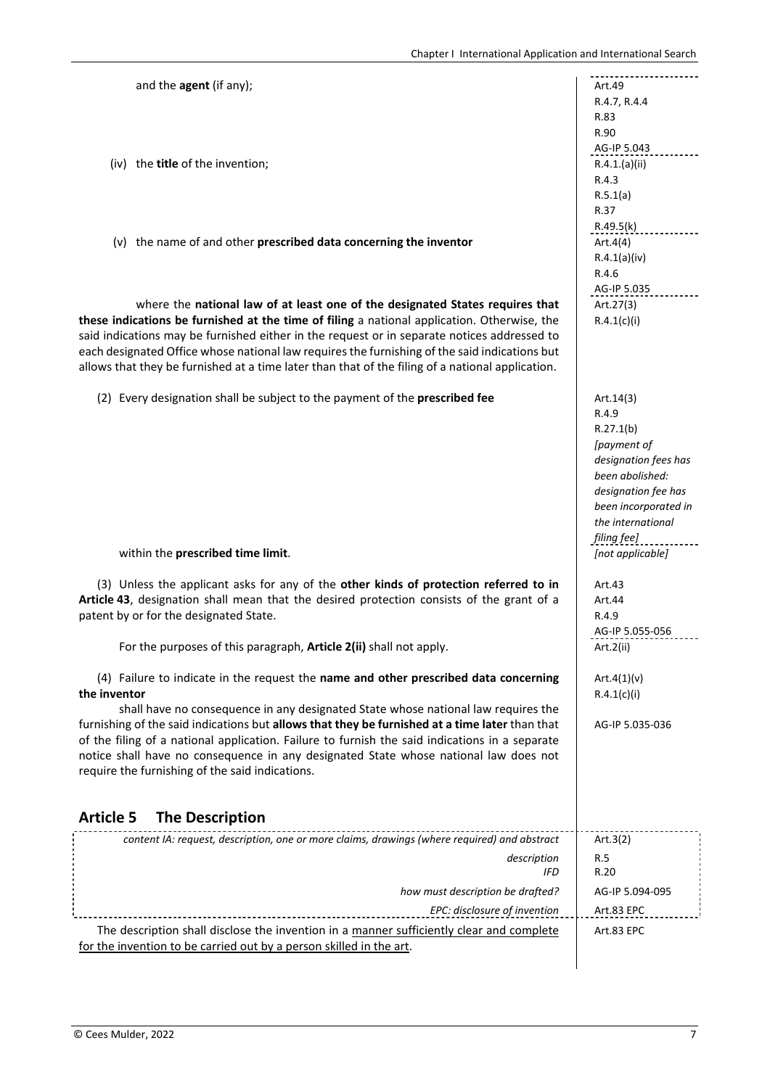| and the agent (if any);                                                                          | Art.49               |
|--------------------------------------------------------------------------------------------------|----------------------|
|                                                                                                  | R.4.7, R.4.4         |
|                                                                                                  | R.83                 |
|                                                                                                  | R.90                 |
|                                                                                                  | AG-IP 5.043          |
| (iv) the title of the invention;                                                                 | R.4.1.(a)(ii)        |
|                                                                                                  | R.4.3                |
|                                                                                                  | R.5.1(a)<br>R.37     |
|                                                                                                  | R.49.5(k)            |
| (v) the name of and other prescribed data concerning the inventor                                | Art.4(4)             |
|                                                                                                  | R.4.1(a)(iv)         |
|                                                                                                  | R.4.6                |
|                                                                                                  | AG-IP 5.035          |
| where the national law of at least one of the designated States requires that                    | Art.27(3)            |
| these indications be furnished at the time of filing a national application. Otherwise, the      | R.4.1(c)(i)          |
| said indications may be furnished either in the request or in separate notices addressed to      |                      |
| each designated Office whose national law requires the furnishing of the said indications but    |                      |
| allows that they be furnished at a time later than that of the filing of a national application. |                      |
|                                                                                                  |                      |
| (2) Every designation shall be subject to the payment of the prescribed fee                      | Art. $14(3)$         |
|                                                                                                  | R.4.9                |
|                                                                                                  | R.27.1(b)            |
|                                                                                                  | [payment of          |
|                                                                                                  | designation fees has |
|                                                                                                  | been abolished:      |
|                                                                                                  | designation fee has  |
|                                                                                                  | been incorporated in |
|                                                                                                  | the international    |
|                                                                                                  | filing fee]          |
| within the prescribed time limit.                                                                | [not applicable]     |
| (3) Unless the applicant asks for any of the other kinds of protection referred to in            | Art.43               |
| Article 43, designation shall mean that the desired protection consists of the grant of a        | Art.44               |
| patent by or for the designated State.                                                           | R.4.9                |
|                                                                                                  | AG-IP 5.055-056      |
| For the purposes of this paragraph, Article 2(ii) shall not apply.                               | Art.2(ii)            |
|                                                                                                  |                      |
| (4) Failure to indicate in the request the name and other prescribed data concerning             | Art.4 $(1)(v)$       |
| the inventor                                                                                     | R.4.1(c)(i)          |
| shall have no consequence in any designated State whose national law requires the                |                      |
| furnishing of the said indications but allows that they be furnished at a time later than that   | AG-IP 5.035-036      |
| of the filing of a national application. Failure to furnish the said indications in a separate   |                      |
| notice shall have no consequence in any designated State whose national law does not             |                      |
| require the furnishing of the said indications.                                                  |                      |
|                                                                                                  |                      |
| <b>Article 5</b><br><b>The Description</b>                                                       |                      |
| content IA: request, description, one or more claims, drawings (where required) and abstract     | Art. $3(2)$          |
|                                                                                                  |                      |
| description<br><b>IFD</b>                                                                        | R.5<br>R.20          |
|                                                                                                  |                      |
| how must description be drafted?                                                                 | AG-IP 5.094-095      |
| EPC: disclosure of invention                                                                     | Art.83 EPC           |
| The description shall disclose the invention in a manner sufficiently clear and complete         | Art.83 EPC           |
| for the invention to be carried out by a person skilled in the art.                              |                      |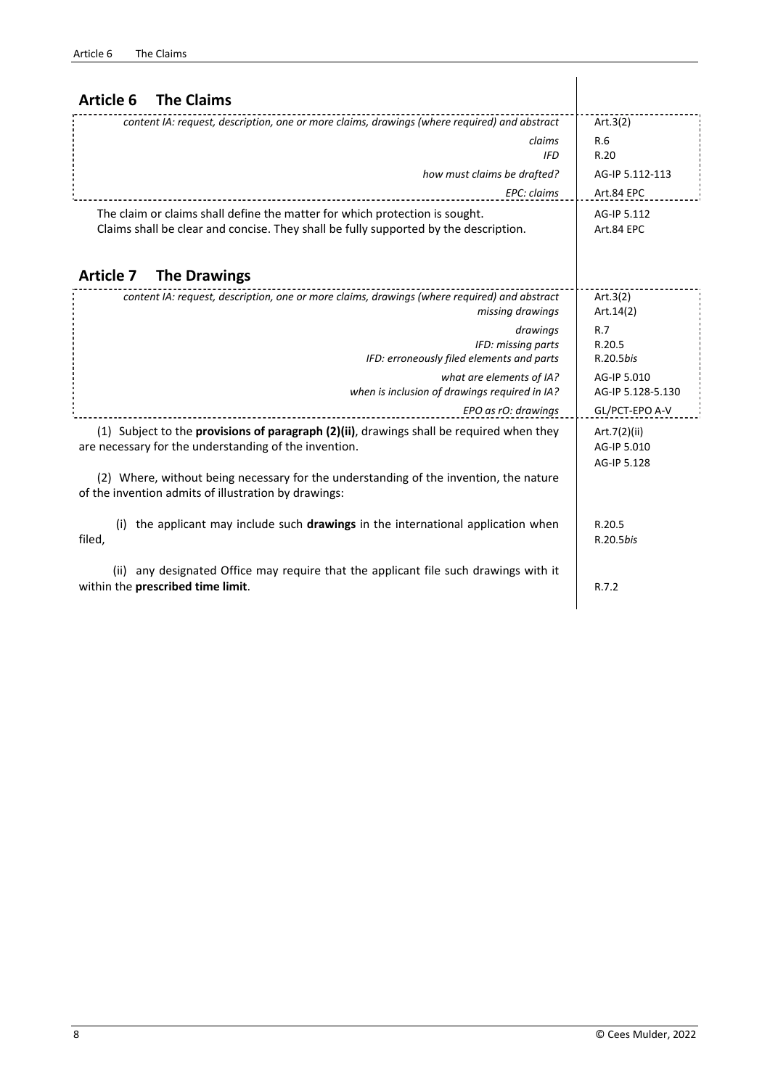| <b>Article 6</b><br><b>The Claims</b>                                                                                                                               |                                            |
|---------------------------------------------------------------------------------------------------------------------------------------------------------------------|--------------------------------------------|
| content IA: request, description, one or more claims, drawings (where required) and abstract                                                                        | Art. $3(2)$                                |
| claims<br><b>IFD</b>                                                                                                                                                | R.6<br>R.20                                |
| how must claims be drafted?                                                                                                                                         | AG-IP 5.112-113                            |
| EPC: claims                                                                                                                                                         | Art.84 EPC                                 |
| The claim or claims shall define the matter for which protection is sought.<br>Claims shall be clear and concise. They shall be fully supported by the description. | AG-IP 5.112<br>Art.84 EPC                  |
| <b>Article 7</b><br><b>The Drawings</b>                                                                                                                             |                                            |
| content IA: request, description, one or more claims, drawings (where required) and abstract<br>missing drawings                                                    | Art. $3(2)$<br>Art.14(2)                   |
| drawings                                                                                                                                                            | R.7                                        |
| IFD: missing parts<br>IFD: erroneously filed elements and parts                                                                                                     | R.20.5<br>R.20.5bis                        |
| what are elements of IA?<br>when is inclusion of drawings required in IA?                                                                                           | AG-IP 5.010<br>AG-IP 5.128-5.130           |
| EPO as rO: drawings                                                                                                                                                 | GL/PCT-EPO A-V                             |
| (1) Subject to the provisions of paragraph (2)(ii), drawings shall be required when they<br>are necessary for the understanding of the invention.                   | Art.7(2)(ii)<br>AG-IP 5.010<br>AG-IP 5.128 |
| (2) Where, without being necessary for the understanding of the invention, the nature<br>of the invention admits of illustration by drawings:                       |                                            |
| (i) the applicant may include such <b>drawings</b> in the international application when<br>filed,                                                                  | R.20.5<br>R.20.5bis                        |
| (ii) any designated Office may require that the applicant file such drawings with it<br>within the prescribed time limit.                                           | R.7.2                                      |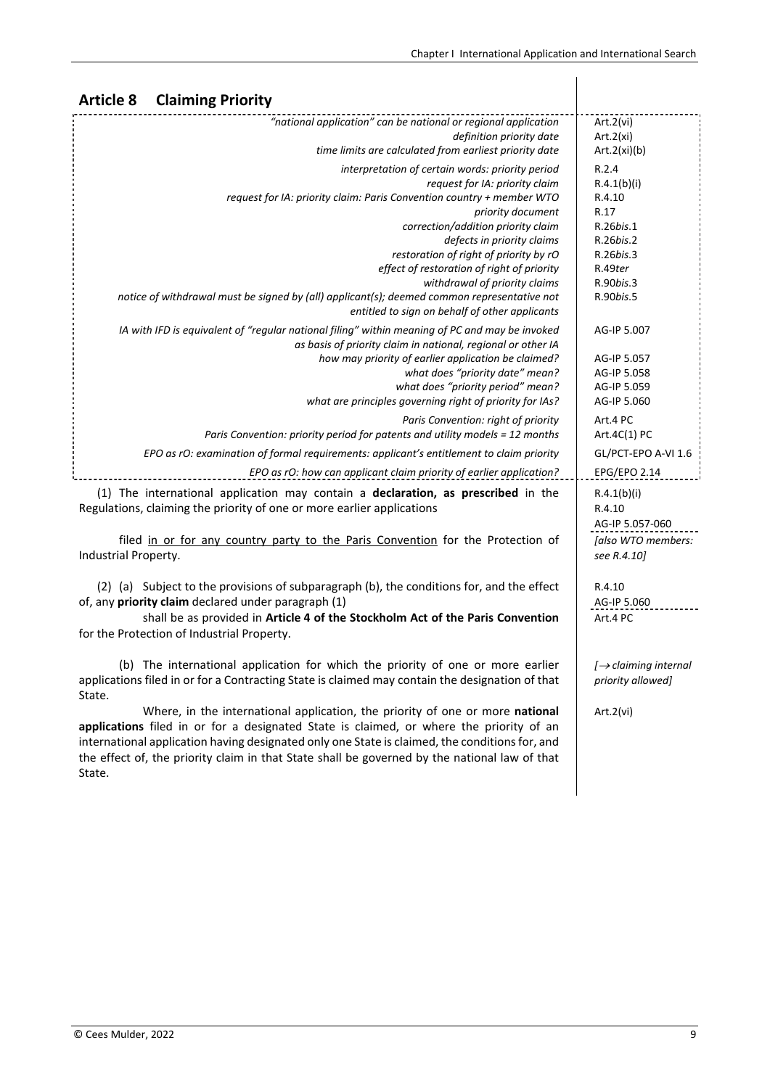| <b>Claiming Priority</b><br><b>Article 8</b>                                                                                                                                                                                                                                                                                                                                                                                                                                 |                                                                                                                    |
|------------------------------------------------------------------------------------------------------------------------------------------------------------------------------------------------------------------------------------------------------------------------------------------------------------------------------------------------------------------------------------------------------------------------------------------------------------------------------|--------------------------------------------------------------------------------------------------------------------|
| "national application" can be national or regional application<br>definition priority date<br>time limits are calculated from earliest priority date                                                                                                                                                                                                                                                                                                                         | Art.2(vi)<br>Art.2(xi)<br>Art.2(xi)(b)                                                                             |
| interpretation of certain words: priority period<br>request for IA: priority claim<br>request for IA: priority claim: Paris Convention country + member WTO<br>priority document<br>correction/addition priority claim<br>defects in priority claims<br>restoration of right of priority by rO<br>effect of restoration of right of priority<br>withdrawal of priority claims<br>notice of withdrawal must be signed by (all) applicant(s); deemed common representative not | R.2.4<br>R.4.1(b)(i)<br>R.4.10<br>R.17<br>R.26bis.1<br>R.26bis.2<br>R.26bis.3<br>R.49ter<br>R.90bis.3<br>R.90bis.5 |
| entitled to sign on behalf of other applicants<br>IA with IFD is equivalent of "regular national filing" within meaning of PC and may be invoked<br>as basis of priority claim in national, regional or other IA<br>how may priority of earlier application be claimed?<br>what does "priority date" mean?<br>what does "priority period" mean?<br>what are principles governing right of priority for IAs?                                                                  | AG-IP 5.007<br>AG-IP 5.057<br>AG-IP 5.058<br>AG-IP 5.059<br>AG-IP 5.060                                            |
| Paris Convention: right of priority<br>Paris Convention: priority period for patents and utility models = 12 months<br>EPO as rO: examination of formal requirements: applicant's entitlement to claim priority                                                                                                                                                                                                                                                              | Art.4 PC<br>Art.4C(1) PC<br>GL/PCT-EPO A-VI 1.6                                                                    |
| EPO as rO: how can applicant claim priority of earlier application?<br>(1) The international application may contain a declaration, as prescribed in the<br>Regulations, claiming the priority of one or more earlier applications<br>filed in or for any country party to the Paris Convention for the Protection of<br>Industrial Property.                                                                                                                                | EPG/EPO 2.14<br>R.4.1(b)(i)<br>R.4.10<br>AG-IP 5.057-060<br>[also WTO members:<br>see R.4.10]                      |
| (2) (a) Subject to the provisions of subparagraph (b), the conditions for, and the effect<br>of, any priority claim declared under paragraph (1)<br>shall be as provided in Article 4 of the Stockholm Act of the Paris Convention<br>for the Protection of Industrial Property.                                                                                                                                                                                             | R.4.10<br>AG-IP 5.060<br>Art.4 PC                                                                                  |
| (b) The international application for which the priority of one or more earlier<br>applications filed in or for a Contracting State is claimed may contain the designation of that<br>State.                                                                                                                                                                                                                                                                                 | $\rightarrow$ claiming internal<br>priority allowed]                                                               |
| Where, in the international application, the priority of one or more national<br>applications filed in or for a designated State is claimed, or where the priority of an<br>international application having designated only one State is claimed, the conditions for, and                                                                                                                                                                                                   | Art.2(vi)                                                                                                          |

the effect of, the priority claim in that State shall be governed by the national law of that

State.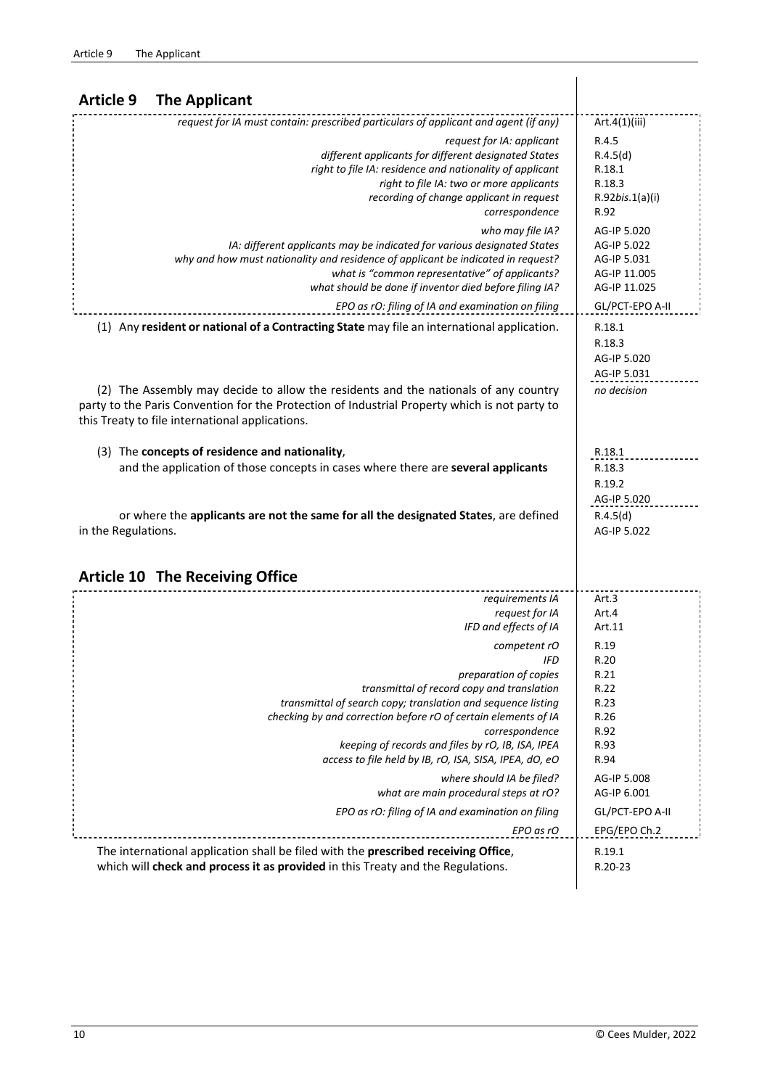| <b>Article 9</b><br><b>The Applicant</b>                                                                                                                                                                                                                                                                                                                                                                                    |                                                                                                  |
|-----------------------------------------------------------------------------------------------------------------------------------------------------------------------------------------------------------------------------------------------------------------------------------------------------------------------------------------------------------------------------------------------------------------------------|--------------------------------------------------------------------------------------------------|
| request for IA must contain: prescribed particulars of applicant and agent (if any)                                                                                                                                                                                                                                                                                                                                         | Art.4(1)(iii)                                                                                    |
| request for IA: applicant<br>different applicants for different designated States<br>right to file IA: residence and nationality of applicant<br>right to file IA: two or more applicants<br>recording of change applicant in request<br>correspondence                                                                                                                                                                     | R.4.5<br>R.4.5(d)<br>R.18.1<br>R.18.3<br>$R.92$ <i>bis.</i> $1(a)(i)$<br>R.92                    |
| who may file IA?<br>IA: different applicants may be indicated for various designated States<br>why and how must nationality and residence of applicant be indicated in request?<br>what is "common representative" of applicants?<br>what should be done if inventor died before filing IA?<br>EPO as rO: filing of IA and examination on filing                                                                            | AG-IP 5.020<br>AG-IP 5.022<br>AG-IP 5.031<br>AG-IP 11.005<br>AG-IP 11.025<br>GL/PCT-EPO A-II     |
| (1) Any resident or national of a Contracting State may file an international application.                                                                                                                                                                                                                                                                                                                                  | R.18.1<br>R.18.3<br>AG-IP 5.020<br>AG-IP 5.031                                                   |
| (2) The Assembly may decide to allow the residents and the nationals of any country<br>party to the Paris Convention for the Protection of Industrial Property which is not party to<br>this Treaty to file international applications.                                                                                                                                                                                     | no decision                                                                                      |
| (3) The concepts of residence and nationality,<br>and the application of those concepts in cases where there are several applicants                                                                                                                                                                                                                                                                                         | R.18.1<br>R.18.3<br>R.19.2<br>AG-IP 5.020                                                        |
| or where the applicants are not the same for all the designated States, are defined<br>in the Regulations.                                                                                                                                                                                                                                                                                                                  | R.4.5(d)<br>AG-IP 5.022                                                                          |
| <b>Article 10 The Receiving Office</b>                                                                                                                                                                                                                                                                                                                                                                                      |                                                                                                  |
| requirements IA<br>request for IA<br>IFD and effects of IA<br>competent rO<br>IFD<br>preparation of copies<br>transmittal of record copy and translation<br>transmittal of search copy; translation and sequence listing<br>checking by and correction before rO of certain elements of IA<br>correspondence<br>keeping of records and files by rO, IB, ISA, IPEA<br>access to file held by IB, rO, ISA, SISA, IPEA, dO, eO | Art.3<br>Art.4<br>Art.11<br>R.19<br>R.20<br>R.21<br>R.22<br>R.23<br>R.26<br>R.92<br>R.93<br>R.94 |
| where should IA be filed?<br>what are main procedural steps at rO?<br>EPO as rO: filing of IA and examination on filing<br>EPO as rO                                                                                                                                                                                                                                                                                        | AG-IP 5.008<br>AG-IP 6.001<br>GL/PCT-EPO A-II                                                    |
| The international application shall be filed with the prescribed receiving Office,<br>which will check and process it as provided in this Treaty and the Regulations.                                                                                                                                                                                                                                                       | EPG/EPO Ch.2<br>R.19.1<br>R.20-23                                                                |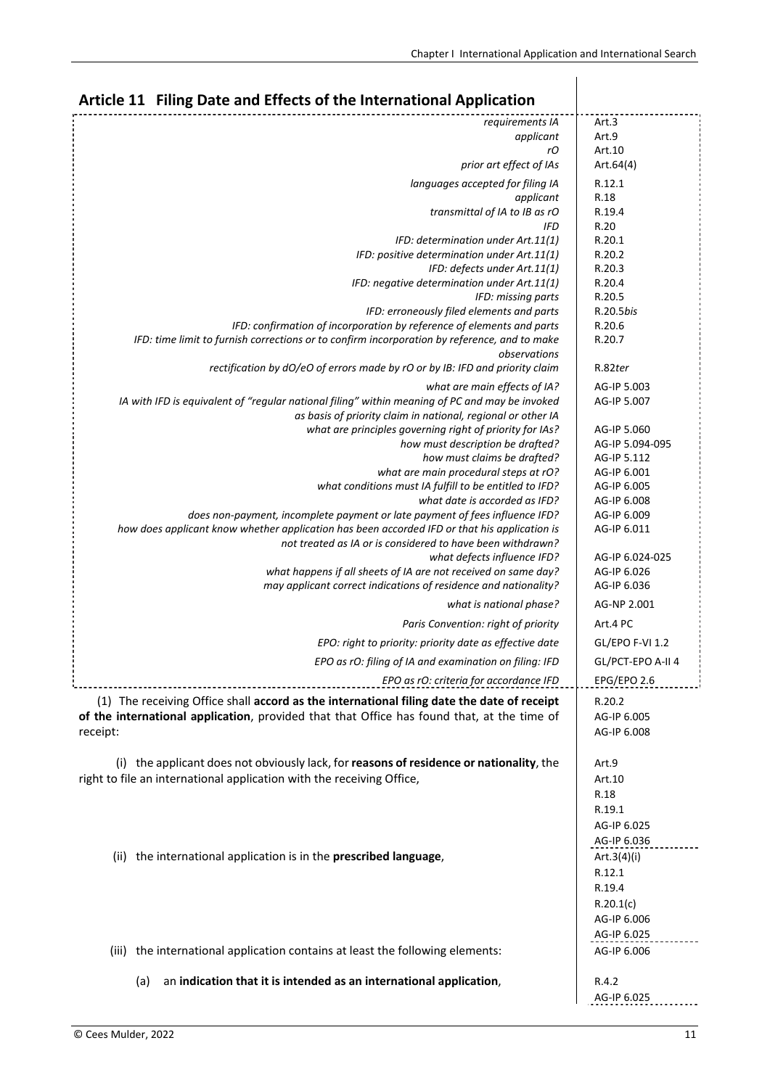| Article 11 Filing Date and Effects of the International Application                                                               |                            |
|-----------------------------------------------------------------------------------------------------------------------------------|----------------------------|
| requirements IA                                                                                                                   | Art.3                      |
| applicant                                                                                                                         | Art.9                      |
| rO<br>prior art effect of IAs                                                                                                     | Art.10<br>Art.64(4)        |
|                                                                                                                                   |                            |
| languages accepted for filing IA<br>applicant                                                                                     | R.12.1<br>R.18             |
| transmittal of IA to IB as rO                                                                                                     | R.19.4                     |
| <b>IFD</b>                                                                                                                        | R.20                       |
| IFD: determination under Art.11(1)                                                                                                | R.20.1                     |
| IFD: positive determination under Art.11(1)                                                                                       | R.20.2                     |
| IFD: defects under Art.11(1)<br>IFD: negative determination under Art.11(1)                                                       | R.20.3<br>R.20.4           |
| IFD: missing parts                                                                                                                | R.20.5                     |
| IFD: erroneously filed elements and parts                                                                                         | R.20.5bis                  |
| IFD: confirmation of incorporation by reference of elements and parts                                                             | R.20.6                     |
| IFD: time limit to furnish corrections or to confirm incorporation by reference, and to make                                      | R.20.7                     |
| observations<br>rectification by dO/eO of errors made by rO or by IB: IFD and priority claim                                      | R.82ter                    |
|                                                                                                                                   |                            |
| what are main effects of IA?<br>IA with IFD is equivalent of "regular national filing" within meaning of PC and may be invoked    | AG-IP 5.003<br>AG-IP 5.007 |
| as basis of priority claim in national, regional or other IA                                                                      |                            |
| what are principles governing right of priority for IAs?                                                                          | AG-IP 5.060                |
| how must description be drafted?                                                                                                  | AG-IP 5.094-095            |
| how must claims be drafted?                                                                                                       | AG-IP 5.112                |
| what are main procedural steps at rO?                                                                                             | AG-IP 6.001                |
| what conditions must IA fulfill to be entitled to IFD?<br>what date is accorded as IFD?                                           | AG-IP 6.005<br>AG-IP 6.008 |
| does non-payment, incomplete payment or late payment of fees influence IFD?                                                       | AG-IP 6.009                |
| how does applicant know whether application has been accorded IFD or that his application is                                      | AG-IP 6.011                |
| not treated as IA or is considered to have been withdrawn?                                                                        |                            |
| what defects influence IFD?                                                                                                       | AG-IP 6.024-025            |
| what happens if all sheets of IA are not received on same day?<br>may applicant correct indications of residence and nationality? | AG-IP 6.026<br>AG-IP 6.036 |
| what is national phase?                                                                                                           | AG-NP 2.001                |
| Paris Convention: right of priority                                                                                               | Art.4 PC                   |
| EPO: right to priority: priority date as effective date                                                                           | GL/EPO F-VI 1.2            |
| EPO as rO: filing of IA and examination on filing: IFD                                                                            | GL/PCT-EPO A-II 4          |
| EPO as rO: criteria for accordance IFD                                                                                            | EPG/EPO 2.6                |
| (1) The receiving Office shall accord as the international filing date the date of receipt                                        | R.20.2                     |
| of the international application, provided that that Office has found that, at the time of                                        | AG-IP 6.005                |
| receipt:                                                                                                                          | AG-IP 6.008                |
|                                                                                                                                   |                            |
| (i) the applicant does not obviously lack, for reasons of residence or nationality, the                                           | Art.9                      |
| right to file an international application with the receiving Office,                                                             | Art.10                     |
|                                                                                                                                   | R.18                       |
|                                                                                                                                   | R.19.1<br>AG-IP 6.025      |
|                                                                                                                                   | AG-IP 6.036                |
| (ii) the international application is in the prescribed language,                                                                 | Art.3 $(4)(i)$             |
|                                                                                                                                   | R.12.1                     |
|                                                                                                                                   | R.19.4                     |
|                                                                                                                                   | R.20.1(c)                  |
|                                                                                                                                   | AG-IP 6.006                |
|                                                                                                                                   | AG-IP 6.025                |
| (iii) the international application contains at least the following elements:                                                     | AG-IP 6.006                |
|                                                                                                                                   |                            |
| an indication that it is intended as an international application,<br>(a)                                                         | R.4.2<br>AG-IP 6.025       |
|                                                                                                                                   |                            |

## **Article <sup>11</sup> Filing Date and Effects of the International Application**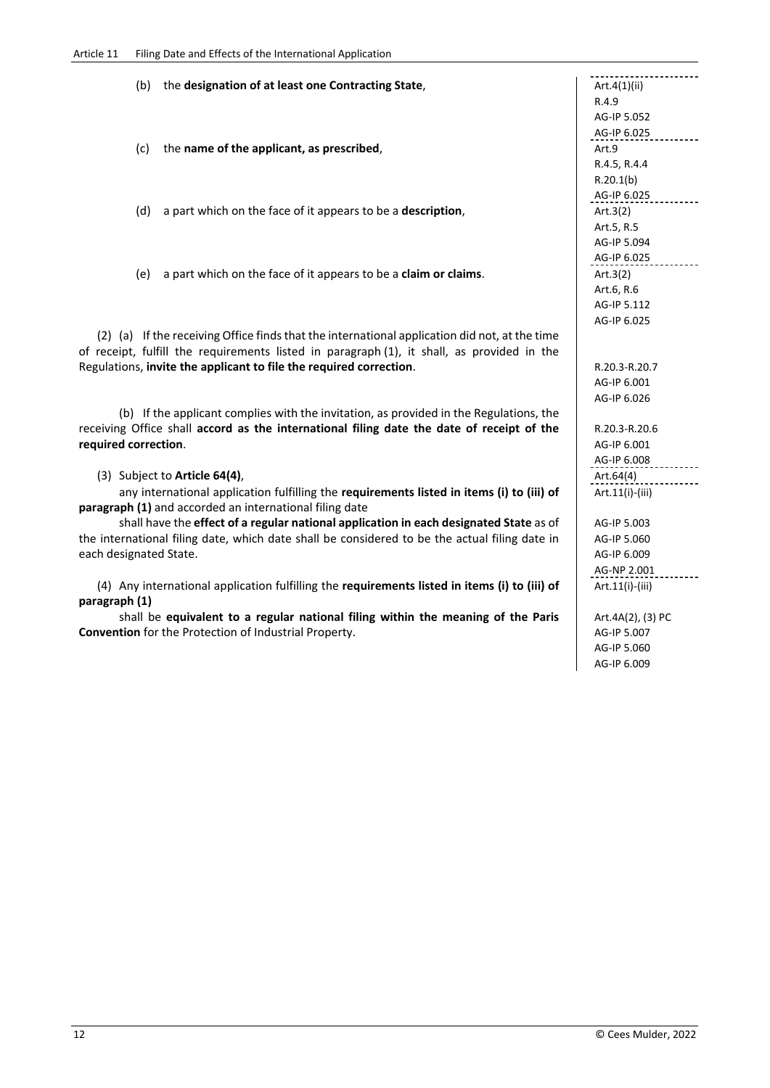## Article 11 Filing Date and Effects of the International Application

(b) the **designation of at least one Contracting State,**  $\qquad \qquad$  **Art.4(1)(ii)** R.4.9 AG‐IP 5.052 AG-IP 6.025 (c) the **name of the applicant, as prescribed**, Art.9 R.4.5, R.4.4 R.20.1(b) AG-IP 6.025 (d) a part which on the face of it appears to be a **description**,  $\left\{ \text{Art.3(2)} \right\}$ Art.5, R.5 AG‐IP 5.094 AG-IP 6.025 (e) a part which on the face of it appears to be a **claim or claims**. Art.3(2) Art.6, R.6 AG‐IP 5.112 AG‐IP 6.025 (2) (a) If the receiving Office finds that the international application did not, at the time of receipt, fulfill the requirements listed in paragraph (1), it shall, as provided in the Regulations, **invite the applicant to file the required correction**.  $\mathcal{A}$ R.20.3‐R.20.7 AG‐IP 6.001 AG‐IP 6.026 (b) If the applicant complies with the invitation, as provided in the Regulations, the receiving Office shall **accord as the international filing date the date of receipt of the required correction**.  $\mathcal{A}$ R.20.3‐R.20.6 AG‐IP 6.001 AG‐IP 6.008 (3) Subject to **Article 64(4)**,  $\begin{array}{|c|c|c|c|c|}\n\hline\n\text{Art.64(4)} & \text{Art.64(4)}\n\hline\n\end{array}$  any international application fulfilling the **requirements listed in items (i) to (iii) of paragraph (1)** and accorded an international filing date Art.11(i)‐(iii) shall have the **effect of a regular national application in each designated State** as of the international filing date, which date shall be considered to be the actual filing date in each designated State. AG‐IP 5.003 AG‐IP 5.060 AG‐IP 6.009 AG-NP 2.001<br>
-----------------------(4) Any international application fulfilling the **requirements listed in items (i) to (iii) of paragraph (1)** Art.11(i)‐(iii) shall be **equivalent to a regular national filing within the meaning of the Paris Convention** for the Protection of Industrial Property. Art.4A(2), (3) PC AG‐IP 5.007

AG‐IP 5.060 AG‐IP 6.009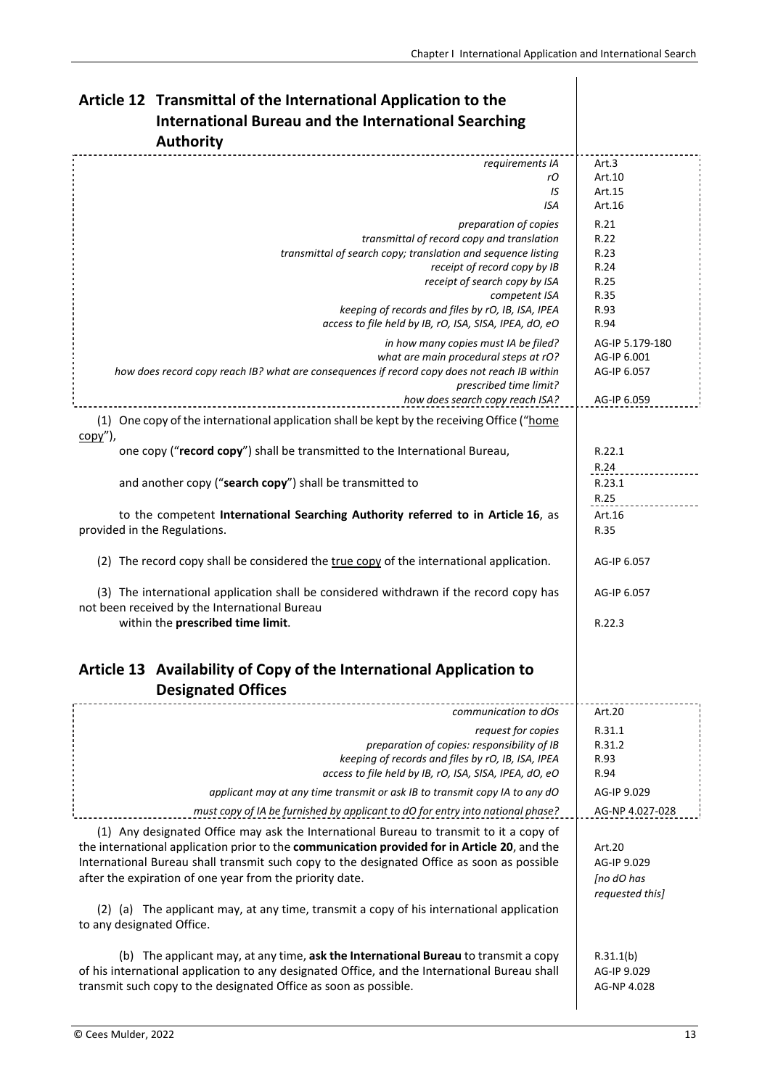$\overline{\phantom{a}}$ 

| Article 12 Transmittal of the International Application to the                                                                                                                       |                          |
|--------------------------------------------------------------------------------------------------------------------------------------------------------------------------------------|--------------------------|
| <b>International Bureau and the International Searching</b>                                                                                                                          |                          |
| <b>Authority</b>                                                                                                                                                                     |                          |
| requirements IA                                                                                                                                                                      | Art.3                    |
| rО                                                                                                                                                                                   | Art.10                   |
| IS<br>ISA                                                                                                                                                                            | Art.15<br>Art.16         |
| preparation of copies                                                                                                                                                                | R.21                     |
| transmittal of record copy and translation                                                                                                                                           | R.22                     |
| transmittal of search copy; translation and sequence listing                                                                                                                         | R.23                     |
| receipt of record copy by IB                                                                                                                                                         | R.24                     |
| receipt of search copy by ISA<br>competent ISA                                                                                                                                       | R.25<br>R.35             |
| keeping of records and files by rO, IB, ISA, IPEA                                                                                                                                    | R.93                     |
| access to file held by IB, rO, ISA, SISA, IPEA, dO, eO                                                                                                                               | R.94                     |
| in how many copies must IA be filed?                                                                                                                                                 | AG-IP 5.179-180          |
| what are main procedural steps at rO?                                                                                                                                                | AG-IP 6.001              |
| how does record copy reach IB? what are consequences if record copy does not reach IB within<br>prescribed time limit?                                                               | AG-IP 6.057              |
| how does search copy reach ISA?                                                                                                                                                      | AG-IP 6.059              |
| (1) One copy of the international application shall be kept by the receiving Office ("home                                                                                           |                          |
| <u>copy")</u> ,<br>one copy ("record copy") shall be transmitted to the International Bureau,                                                                                        | R.22.1                   |
|                                                                                                                                                                                      | R.24                     |
| and another copy ("search copy") shall be transmitted to                                                                                                                             | R.23.1                   |
|                                                                                                                                                                                      | R.25                     |
| to the competent International Searching Authority referred to in Article 16, as                                                                                                     | Art.16                   |
| provided in the Regulations.                                                                                                                                                         | R.35                     |
| (2) The record copy shall be considered the true copy of the international application.                                                                                              | AG-IP 6.057              |
| (3) The international application shall be considered withdrawn if the record copy has<br>not been received by the International Bureau                                              | AG-IP 6.057              |
| within the prescribed time limit.                                                                                                                                                    | R.22.3                   |
|                                                                                                                                                                                      |                          |
| Article 13 Availability of Copy of the International Application to                                                                                                                  |                          |
| <b>Designated Offices</b>                                                                                                                                                            |                          |
| communication to dOs                                                                                                                                                                 | Art.20                   |
| request for copies                                                                                                                                                                   | R.31.1                   |
| preparation of copies: responsibility of IB<br>keeping of records and files by rO, IB, ISA, IPEA                                                                                     | R.31.2<br>R.93           |
| access to file held by IB, rO, ISA, SISA, IPEA, dO, eO                                                                                                                               | R.94                     |
| applicant may at any time transmit or ask IB to transmit copy IA to any dO                                                                                                           | AG-IP 9.029              |
| must copy of IA be furnished by applicant to dO for entry into national phase?                                                                                                       | AG-NP 4.027-028          |
| (1) Any designated Office may ask the International Bureau to transmit to it a copy of                                                                                               |                          |
| the international application prior to the communication provided for in Article 20, and the                                                                                         | Art.20                   |
| International Bureau shall transmit such copy to the designated Office as soon as possible                                                                                           | AG-IP 9.029              |
| after the expiration of one year from the priority date.                                                                                                                             | [no dO has               |
| (2) (a) The applicant may, at any time, transmit a copy of his international application<br>to any designated Office.                                                                | requested this]          |
|                                                                                                                                                                                      |                          |
| (b) The applicant may, at any time, ask the International Bureau to transmit a copy<br>of his international application to any designated Office, and the International Bureau shall | R.31.1(b)<br>AG-IP 9.029 |
| transmit such copy to the designated Office as soon as possible.                                                                                                                     | AG-NP 4.028              |
|                                                                                                                                                                                      |                          |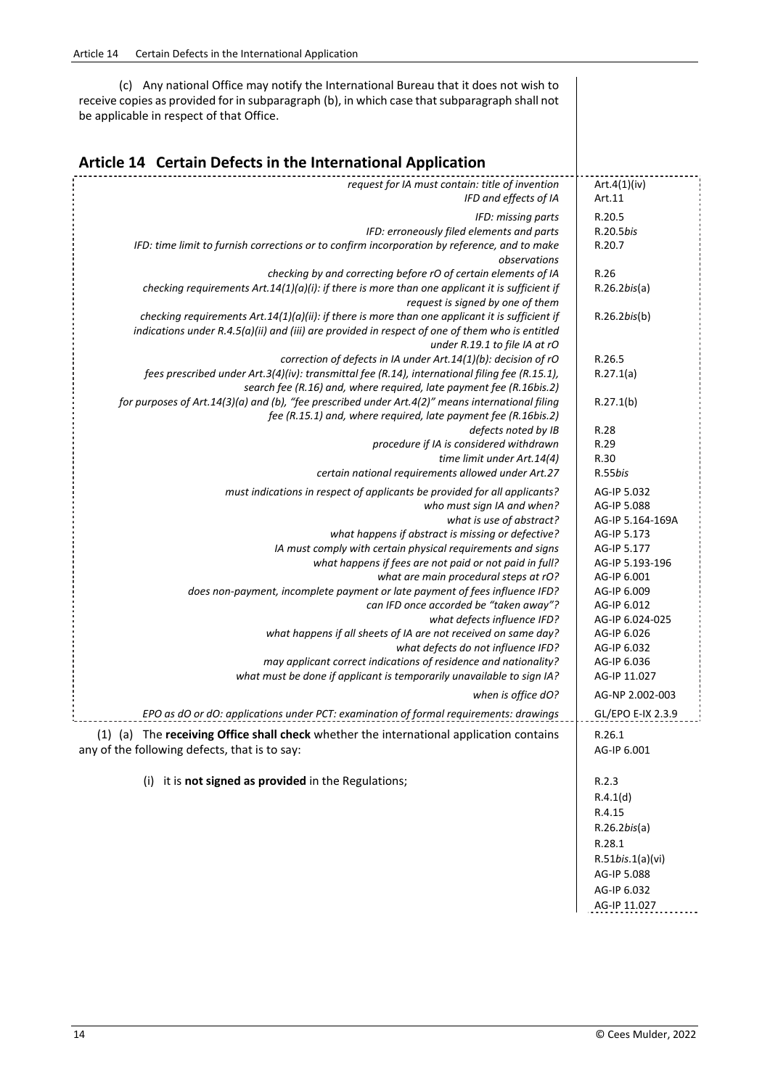(c) Any national Office may notify the International Bureau that it does not wish to receive copies as provided for in subparagraph (b), in which case that subparagraph shall not be applicable in respect of that Office.

## **Article <sup>14</sup> Certain Defects in the International Application**

| request for IA must contain: title of invention<br>IFD and effects of IA                                     | Art.4(1)(iv)<br>Art.11         |
|--------------------------------------------------------------------------------------------------------------|--------------------------------|
| IFD: missing parts<br>IFD: erroneously filed elements and parts                                              | R.20.5<br>R.20.5bis            |
| IFD: time limit to furnish corrections or to confirm incorporation by reference, and to make<br>observations | R.20.7                         |
| checking by and correcting before rO of certain elements of IA                                               | R.26                           |
| checking requirements Art.14(1)( $a$ )(i): if there is more than one applicant it is sufficient if           | $R.26.2$ <i>bis(a)</i>         |
| request is signed by one of them                                                                             |                                |
| checking requirements Art.14(1)( $a$ )(ii): if there is more than one applicant it is sufficient if          | $R.26.2$ <i>bis(b)</i>         |
| indications under R.4.5(a)(ii) and (iii) are provided in respect of one of them who is entitled              |                                |
| under R.19.1 to file IA at rO<br>correction of defects in IA under Art.14(1)(b): decision of rO              | R.26.5                         |
| fees prescribed under Art.3(4)(iv): transmittal fee (R.14), international filing fee (R.15.1),               | R.27.1(a)                      |
| search fee (R.16) and, where required, late payment fee (R.16bis.2)                                          |                                |
| for purposes of Art.14(3)(a) and (b), "fee prescribed under Art.4(2)" means international filing             | R.27.1(b)                      |
| fee (R.15.1) and, where required, late payment fee (R.16bis.2)                                               |                                |
| defects noted by IB                                                                                          | R.28                           |
| procedure if IA is considered withdrawn                                                                      | R.29                           |
| time limit under Art.14(4)                                                                                   | R.30                           |
| certain national requirements allowed under Art.27                                                           | R.55bis                        |
| must indications in respect of applicants be provided for all applicants?                                    | AG-IP 5.032                    |
| who must sign IA and when?                                                                                   | AG-IP 5.088                    |
| what is use of abstract?                                                                                     | AG-IP 5.164-169A               |
| what happens if abstract is missing or defective?                                                            | AG-IP 5.173                    |
| IA must comply with certain physical requirements and signs                                                  | AG-IP 5.177                    |
| what happens if fees are not paid or not paid in full?<br>what are main procedural steps at rO?              | AG-IP 5.193-196<br>AG-IP 6.001 |
| does non-payment, incomplete payment or late payment of fees influence IFD?                                  | AG-IP 6.009                    |
| can IFD once accorded be "taken away"?                                                                       | AG-IP 6.012                    |
| what defects influence IFD?                                                                                  | AG-IP 6.024-025                |
| what happens if all sheets of IA are not received on same day?                                               | AG-IP 6.026                    |
| what defects do not influence IFD?                                                                           | AG-IP 6.032                    |
| may applicant correct indications of residence and nationality?                                              | AG-IP 6.036                    |
| what must be done if applicant is temporarily unavailable to sign IA?                                        | AG-IP 11.027                   |
| when is office dO?                                                                                           | AG-NP 2.002-003                |
| EPO as dO or dO: applications under PCT: examination of formal requirements: drawings                        | GL/EPO E-IX 2.3.9              |
| (1) (a) The receiving Office shall check whether the international application contains                      | R.26.1                         |
| any of the following defects, that is to say:                                                                | AG-IP 6.001                    |
| (i) it is not signed as provided in the Regulations;                                                         | R.2.3                          |
|                                                                                                              | R.4.1(d)                       |
|                                                                                                              | R.4.15                         |
|                                                                                                              | $R.26.2$ <i>bis(a)</i>         |
|                                                                                                              | R.28.1                         |
|                                                                                                              | R.51bis.1(a)(vi)               |
|                                                                                                              | AG-IP 5.088                    |
|                                                                                                              | AG-IP 6.032                    |
|                                                                                                              |                                |

 $\mathcal{A}$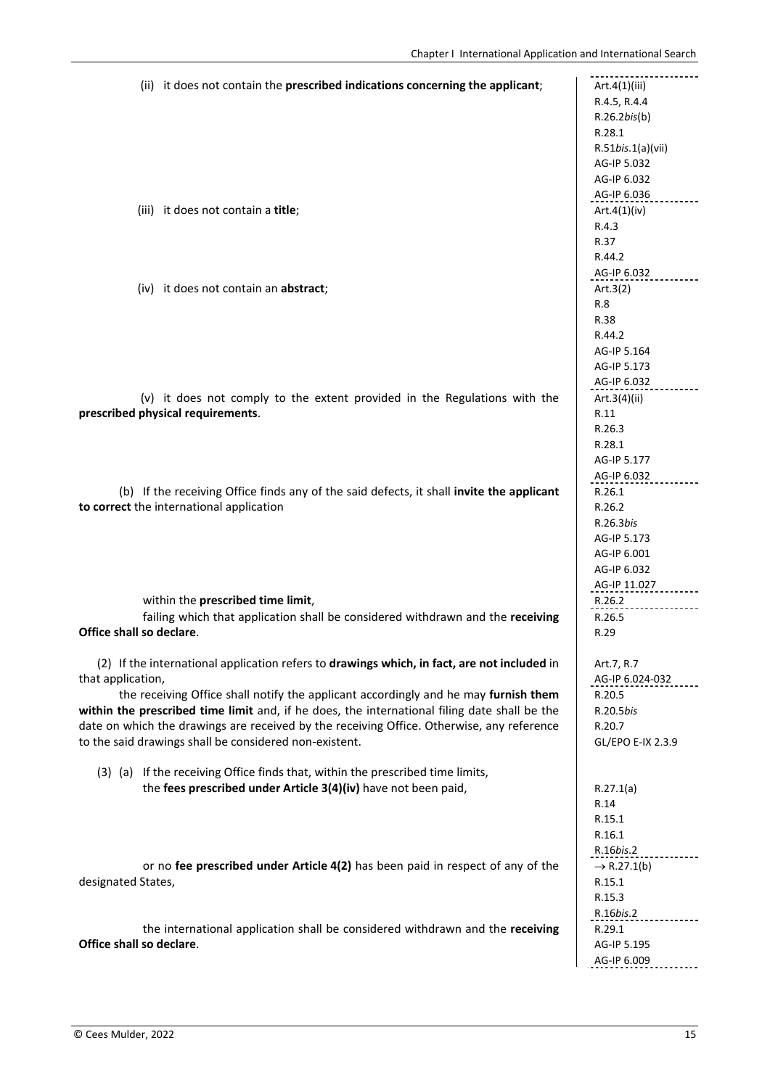| (ii) it does not contain the prescribed indications concerning the applicant;                |                                |
|----------------------------------------------------------------------------------------------|--------------------------------|
|                                                                                              | Art.4(1)(iii)<br>R.4.5, R.4.4  |
|                                                                                              | $R.26.2$ <i>bis(b)</i>         |
|                                                                                              | R.28.1                         |
|                                                                                              | $R.51$ <i>bis.</i> $1(a)(vii)$ |
|                                                                                              | AG-IP 5.032                    |
|                                                                                              | AG-IP 6.032                    |
|                                                                                              | AG-IP 6.036                    |
| (iii) it does not contain a title;                                                           | Art. $4(1)$ (iv)               |
|                                                                                              | R.4.3                          |
|                                                                                              | R.37                           |
|                                                                                              | R.44.2                         |
|                                                                                              | AG-IP 6.032                    |
| (iv) it does not contain an abstract;                                                        | Art. $3(2)$                    |
|                                                                                              | R.8                            |
|                                                                                              | R.38                           |
|                                                                                              | R.44.2                         |
|                                                                                              | AG-IP 5.164                    |
|                                                                                              | AG-IP 5.173                    |
|                                                                                              | AG-IP 6.032                    |
| (v) it does not comply to the extent provided in the Regulations with the                    | Art.3(4)(ii)                   |
| prescribed physical requirements.                                                            | R.11                           |
|                                                                                              | R.26.3                         |
|                                                                                              | R.28.1                         |
|                                                                                              | AG-IP 5.177                    |
|                                                                                              | AG-IP 6.032                    |
| (b) If the receiving Office finds any of the said defects, it shall invite the applicant     | R.26.1                         |
| to correct the international application                                                     | R.26.2                         |
|                                                                                              | R.26.3bis                      |
|                                                                                              | AG-IP 5.173                    |
|                                                                                              | AG-IP 6.001                    |
|                                                                                              | AG-IP 6.032                    |
|                                                                                              | AG-IP 11.027                   |
| within the prescribed time limit,                                                            | R.26.2                         |
| failing which that application shall be considered withdrawn and the receiving               | R.26.5                         |
| Office shall so declare.                                                                     | R.29                           |
| (2) If the international application refers to drawings which, in fact, are not included in  | Art.7, R.7                     |
| that application,                                                                            | AG-IP 6.024-032                |
| the receiving Office shall notify the applicant accordingly and he may furnish them          | R.20.5                         |
| within the prescribed time limit and, if he does, the international filing date shall be the | R.20.5bis                      |
| date on which the drawings are received by the receiving Office. Otherwise, any reference    | R.20.7                         |
| to the said drawings shall be considered non-existent.                                       | GL/EPO E-IX 2.3.9              |
|                                                                                              |                                |
| (3) (a) If the receiving Office finds that, within the prescribed time limits,               |                                |
| the fees prescribed under Article 3(4)(iv) have not been paid,                               | R.27.1(a)                      |
|                                                                                              | R.14                           |
|                                                                                              | R.15.1                         |
|                                                                                              | R.16.1                         |
|                                                                                              | R.16bis.2                      |
| or no fee prescribed under Article 4(2) has been paid in respect of any of the               | $\rightarrow$ R.27.1(b)        |
| designated States,                                                                           | R.15.1                         |
|                                                                                              | R.15.3                         |
|                                                                                              | R.16bis.2                      |
| the international application shall be considered withdrawn and the receiving                | R.29.1                         |
| Office shall so declare.                                                                     | AG-IP 5.195                    |
|                                                                                              | AG-IP 6.009                    |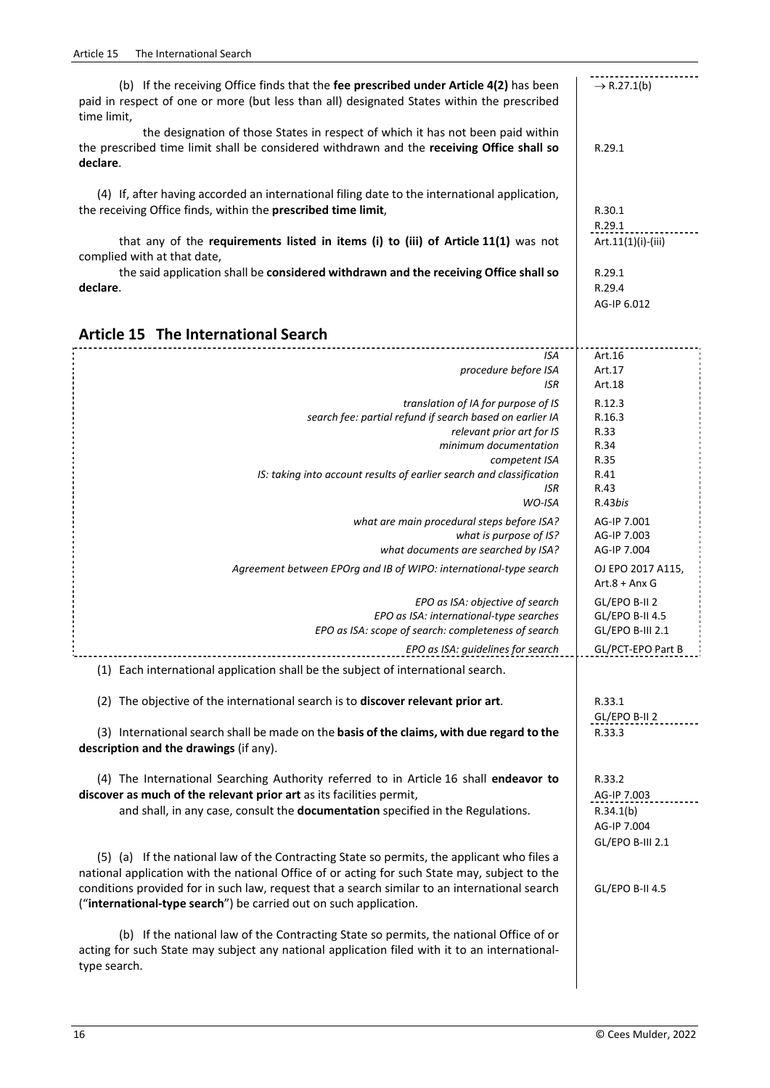| (b) If the receiving Office finds that the fee prescribed under Article 4(2) has been<br>paid in respect of one or more (but less than all) designated States within the prescribed<br>time limit,      | $\rightarrow$ R.27.1(b)          |
|---------------------------------------------------------------------------------------------------------------------------------------------------------------------------------------------------------|----------------------------------|
| the designation of those States in respect of which it has not been paid within<br>the prescribed time limit shall be considered withdrawn and the receiving Office shall so<br>declare.                | R.29.1                           |
| (4) If, after having accorded an international filing date to the international application,<br>the receiving Office finds, within the prescribed time limit,                                           | R.30.1<br>R.29.1                 |
| that any of the requirements listed in items (i) to (iii) of Article 11(1) was not<br>complied with at that date,                                                                                       | Art.11(1)(i)-(iii)               |
| the said application shall be considered withdrawn and the receiving Office shall so<br>declare.                                                                                                        | R.29.1<br>R.29.4<br>AG-IP 6.012  |
| <b>Article 15 The International Search</b>                                                                                                                                                              |                                  |
|                                                                                                                                                                                                         |                                  |
| <b>ISA</b><br>procedure before ISA<br><b>ISR</b>                                                                                                                                                        | Art.16<br>Art.17<br>Art.18       |
| translation of IA for purpose of IS                                                                                                                                                                     | R.12.3                           |
| search fee: partial refund if search based on earlier IA                                                                                                                                                | R.16.3                           |
| relevant prior art for IS                                                                                                                                                                               | R.33                             |
| minimum documentation                                                                                                                                                                                   | R.34                             |
| competent ISA                                                                                                                                                                                           | R.35                             |
| IS: taking into account results of earlier search and classification                                                                                                                                    | R.41                             |
| ISR<br>WO-ISA                                                                                                                                                                                           | R.43<br>R.43bis                  |
|                                                                                                                                                                                                         |                                  |
| what are main procedural steps before ISA?                                                                                                                                                              | AG-IP 7.001                      |
| what is purpose of IS?<br>what documents are searched by ISA?                                                                                                                                           | AG-IP 7.003<br>AG-IP 7.004       |
| Agreement between EPOrg and IB of WIPO: international-type search                                                                                                                                       | OJ EPO 2017 A115,                |
|                                                                                                                                                                                                         | $Art.8 + Anx G$                  |
| EPO as ISA: objective of search<br>EPO as ISA: international-type searches                                                                                                                              | GL/EPO B-II 2<br>GL/EPO B-II 4.5 |
| EPO as ISA: scope of search: completeness of search                                                                                                                                                     | GL/EPO B-III 2.1                 |
| EPO as ISA: guidelines for search                                                                                                                                                                       | GL/PCT-EPO Part B                |
| (1) Each international application shall be the subject of international search.                                                                                                                        |                                  |
| (2) The objective of the international search is to discover relevant prior art.                                                                                                                        | R.33.1<br>GL/EPO B-II 2          |
| (3) International search shall be made on the basis of the claims, with due regard to the<br>description and the drawings (if any).                                                                     | R.33.3                           |
| (4) The International Searching Authority referred to in Article 16 shall endeavor to                                                                                                                   | R.33.2                           |
| discover as much of the relevant prior art as its facilities permit,                                                                                                                                    | AG-IP 7.003                      |
| and shall, in any case, consult the documentation specified in the Regulations.                                                                                                                         | R.34.1(b)                        |
|                                                                                                                                                                                                         | AG-IP 7.004                      |
|                                                                                                                                                                                                         | GL/EPO B-III 2.1                 |
| (5) (a) If the national law of the Contracting State so permits, the applicant who files a                                                                                                              |                                  |
| national application with the national Office of or acting for such State may, subject to the                                                                                                           |                                  |
| conditions provided for in such law, request that a search similar to an international search<br>("international-type search") be carried out on such application.                                      | GL/EPO B-II 4.5                  |
|                                                                                                                                                                                                         |                                  |
| (b) If the national law of the Contracting State so permits, the national Office of or<br>acting for such State may subject any national application filed with it to an international-<br>type search. |                                  |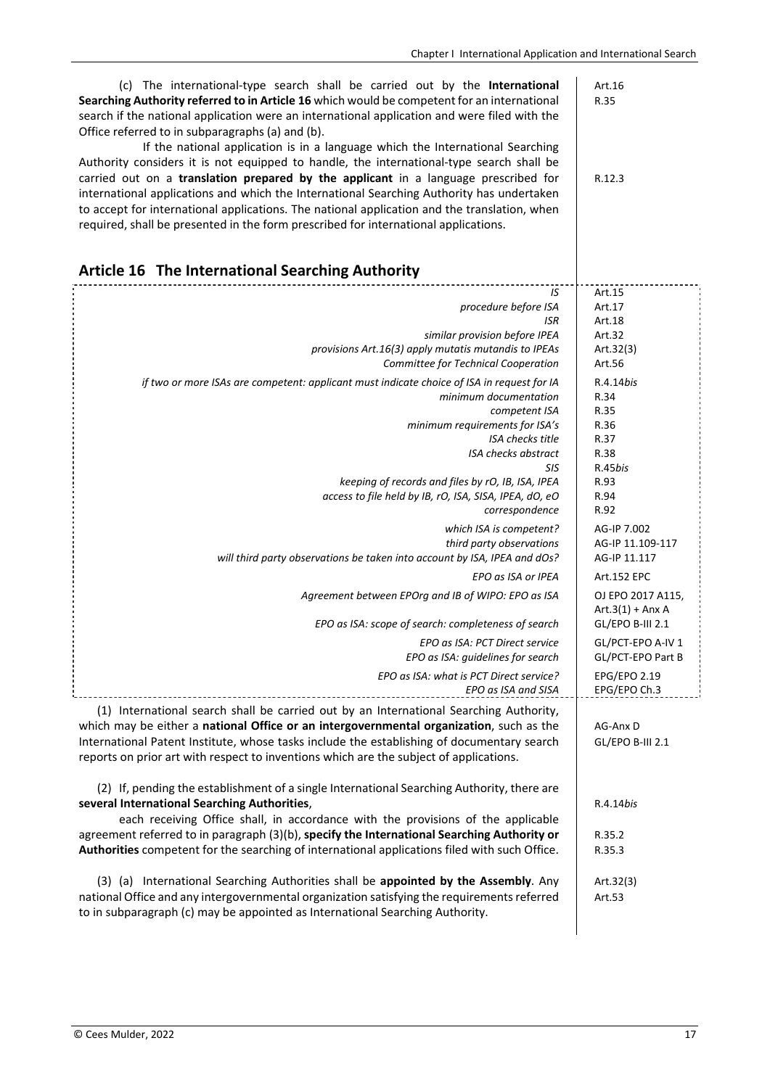| (c) The international-type search shall be carried out by the International<br>Searching Authority referred to in Article 16 which would be competent for an international<br>search if the national application were an international application and were filed with the<br>Office referred to in subparagraphs (a) and (b).<br>If the national application is in a language which the International Searching<br>Authority considers it is not equipped to handle, the international-type search shall be<br>carried out on a translation prepared by the applicant in a language prescribed for<br>international applications and which the International Searching Authority has undertaken<br>to accept for international applications. The national application and the translation, when<br>required, shall be presented in the form prescribed for international applications. | Art.16<br>R.35<br>R.12.3               |
|-----------------------------------------------------------------------------------------------------------------------------------------------------------------------------------------------------------------------------------------------------------------------------------------------------------------------------------------------------------------------------------------------------------------------------------------------------------------------------------------------------------------------------------------------------------------------------------------------------------------------------------------------------------------------------------------------------------------------------------------------------------------------------------------------------------------------------------------------------------------------------------------|----------------------------------------|
| Article 16 The International Searching Authority                                                                                                                                                                                                                                                                                                                                                                                                                                                                                                                                                                                                                                                                                                                                                                                                                                        |                                        |
| IS                                                                                                                                                                                                                                                                                                                                                                                                                                                                                                                                                                                                                                                                                                                                                                                                                                                                                      | Art.15                                 |
| procedure before ISA                                                                                                                                                                                                                                                                                                                                                                                                                                                                                                                                                                                                                                                                                                                                                                                                                                                                    | Art.17                                 |
| <b>ISR</b>                                                                                                                                                                                                                                                                                                                                                                                                                                                                                                                                                                                                                                                                                                                                                                                                                                                                              | Art.18                                 |
| similar provision before IPEA                                                                                                                                                                                                                                                                                                                                                                                                                                                                                                                                                                                                                                                                                                                                                                                                                                                           | Art.32                                 |
| provisions Art.16(3) apply mutatis mutandis to IPEAs                                                                                                                                                                                                                                                                                                                                                                                                                                                                                                                                                                                                                                                                                                                                                                                                                                    | Art. $32(3)$                           |
| Committee for Technical Cooperation                                                                                                                                                                                                                                                                                                                                                                                                                                                                                                                                                                                                                                                                                                                                                                                                                                                     | Art.56                                 |
| if two or more ISAs are competent: applicant must indicate choice of ISA in request for IA                                                                                                                                                                                                                                                                                                                                                                                                                                                                                                                                                                                                                                                                                                                                                                                              | R.4.14bis                              |
| minimum documentation                                                                                                                                                                                                                                                                                                                                                                                                                                                                                                                                                                                                                                                                                                                                                                                                                                                                   | R.34                                   |
| competent ISA                                                                                                                                                                                                                                                                                                                                                                                                                                                                                                                                                                                                                                                                                                                                                                                                                                                                           | R.35                                   |
| minimum requirements for ISA's                                                                                                                                                                                                                                                                                                                                                                                                                                                                                                                                                                                                                                                                                                                                                                                                                                                          | R.36                                   |
| ISA checks title                                                                                                                                                                                                                                                                                                                                                                                                                                                                                                                                                                                                                                                                                                                                                                                                                                                                        | R.37                                   |
| <b>ISA checks abstract</b>                                                                                                                                                                                                                                                                                                                                                                                                                                                                                                                                                                                                                                                                                                                                                                                                                                                              | R.38                                   |
| SIS                                                                                                                                                                                                                                                                                                                                                                                                                                                                                                                                                                                                                                                                                                                                                                                                                                                                                     | R.45bis                                |
| keeping of records and files by rO, IB, ISA, IPEA                                                                                                                                                                                                                                                                                                                                                                                                                                                                                                                                                                                                                                                                                                                                                                                                                                       | R.93                                   |
| access to file held by IB, rO, ISA, SISA, IPEA, dO, eO                                                                                                                                                                                                                                                                                                                                                                                                                                                                                                                                                                                                                                                                                                                                                                                                                                  | R.94                                   |
| correspondence                                                                                                                                                                                                                                                                                                                                                                                                                                                                                                                                                                                                                                                                                                                                                                                                                                                                          | R.92                                   |
| which ISA is competent?                                                                                                                                                                                                                                                                                                                                                                                                                                                                                                                                                                                                                                                                                                                                                                                                                                                                 | AG-IP 7.002                            |
| third party observations                                                                                                                                                                                                                                                                                                                                                                                                                                                                                                                                                                                                                                                                                                                                                                                                                                                                | AG-IP 11.109-117                       |
| will third party observations be taken into account by ISA, IPEA and dOs?                                                                                                                                                                                                                                                                                                                                                                                                                                                                                                                                                                                                                                                                                                                                                                                                               | AG-IP 11.117                           |
| EPO as ISA or IPEA                                                                                                                                                                                                                                                                                                                                                                                                                                                                                                                                                                                                                                                                                                                                                                                                                                                                      | Art.152 EPC                            |
| Agreement between EPOrg and IB of WIPO: EPO as ISA                                                                                                                                                                                                                                                                                                                                                                                                                                                                                                                                                                                                                                                                                                                                                                                                                                      | OJ EPO 2017 A115,                      |
| EPO as ISA: scope of search: completeness of search                                                                                                                                                                                                                                                                                                                                                                                                                                                                                                                                                                                                                                                                                                                                                                                                                                     | $Art.3(1) + Anx A$<br>GL/EPO B-III 2.1 |
| EPO as ISA: PCT Direct service                                                                                                                                                                                                                                                                                                                                                                                                                                                                                                                                                                                                                                                                                                                                                                                                                                                          | GL/PCT-EPO A-IV 1                      |
| EPO as ISA: guidelines for search                                                                                                                                                                                                                                                                                                                                                                                                                                                                                                                                                                                                                                                                                                                                                                                                                                                       | GL/PCT-EPO Part B                      |
| EPO as ISA: what is PCT Direct service?                                                                                                                                                                                                                                                                                                                                                                                                                                                                                                                                                                                                                                                                                                                                                                                                                                                 | EPG/EPO 2.19                           |
| EPO as ISA and SISA                                                                                                                                                                                                                                                                                                                                                                                                                                                                                                                                                                                                                                                                                                                                                                                                                                                                     | EPG/EPO Ch.3                           |
| (1) International search shall be carried out by an International Searching Authority,<br>which may be either a national Office or an intergovernmental organization, such as the<br>International Patent Institute, whose tasks include the establishing of documentary search<br>reports on prior art with respect to inventions which are the subject of applications.                                                                                                                                                                                                                                                                                                                                                                                                                                                                                                               | AG-Anx D<br>GL/EPO B-III 2.1           |
| (2) If, pending the establishment of a single International Searching Authority, there are<br>several International Searching Authorities,<br>each receiving Office shall, in accordance with the provisions of the applicable<br>agreement referred to in paragraph (3)(b), specify the International Searching Authority or<br>Authorities competent for the searching of international applications filed with such Office.                                                                                                                                                                                                                                                                                                                                                                                                                                                          | R.4.14bis<br>R.35.2<br>R.35.3          |
| (3) (a) International Searching Authorities shall be appointed by the Assembly. Any<br>national Office and any intergovernmental organization satisfying the requirements referred<br>to in subparagraph (c) may be appointed as International Searching Authority.                                                                                                                                                                                                                                                                                                                                                                                                                                                                                                                                                                                                                     | Art.32(3)<br>Art.53                    |